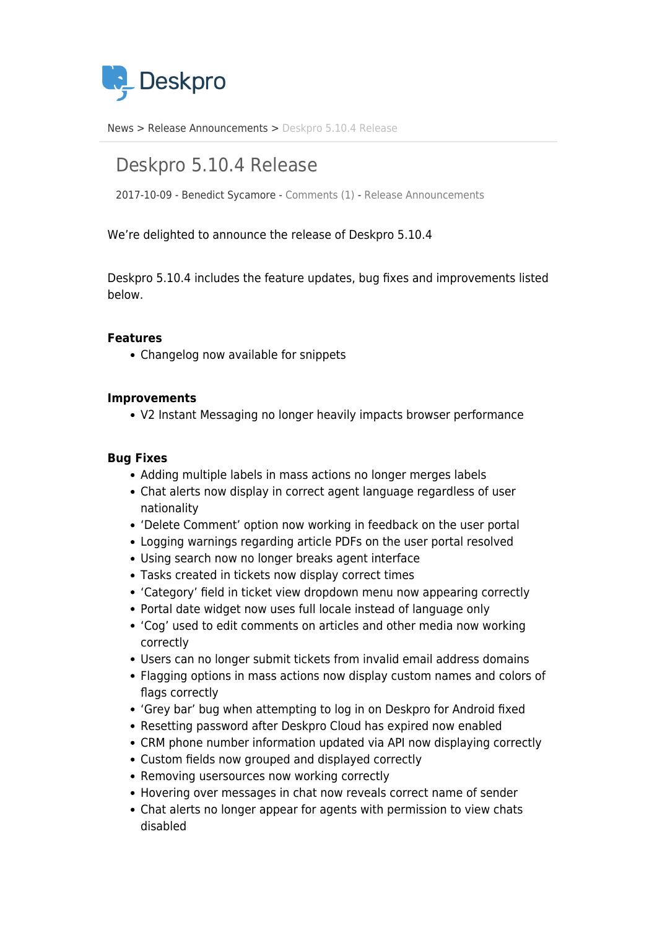

[News](https://support.deskpro.com/vi/news) > [Release Announcements](https://support.deskpro.com/vi/news/release-announcements) > [Deskpro 5.10.4 Release](https://support.deskpro.com/vi/news/posts/deskpro-5-10-4-release)

# Deskpro 5.10.4 Release

2017-10-09 - Benedict Sycamore - [Comments \(1\)](#page--1-0) - [Release Announcements](https://support.deskpro.com/vi/news/release-announcements)

We're delighted to announce the release of Deskpro 5.10.4

Deskpro 5.10.4 includes the feature updates, bug fixes and improvements listed below.

## **Features**

Changelog now available for snippets

#### **Improvements**

V2 Instant Messaging no longer heavily impacts browser performance

### **Bug Fixes**

- Adding multiple labels in mass actions no longer merges labels
- Chat alerts now display in correct agent language regardless of user nationality
- 'Delete Comment' option now working in feedback on the user portal
- Logging warnings regarding article PDFs on the user portal resolved
- Using search now no longer breaks agent interface
- Tasks created in tickets now display correct times
- 'Category' field in ticket view dropdown menu now appearing correctly
- Portal date widget now uses full locale instead of language only
- 'Cog' used to edit comments on articles and other media now working correctly
- Users can no longer submit tickets from invalid email address domains
- Flagging options in mass actions now display custom names and colors of flags correctly
- 'Grey bar' bug when attempting to log in on Deskpro for Android fixed
- Resetting password after Deskpro Cloud has expired now enabled
- CRM phone number information updated via API now displaying correctly
- Custom fields now grouped and displayed correctly
- Removing usersources now working correctly
- Hovering over messages in chat now reveals correct name of sender
- Chat alerts no longer appear for agents with permission to view chats disabled